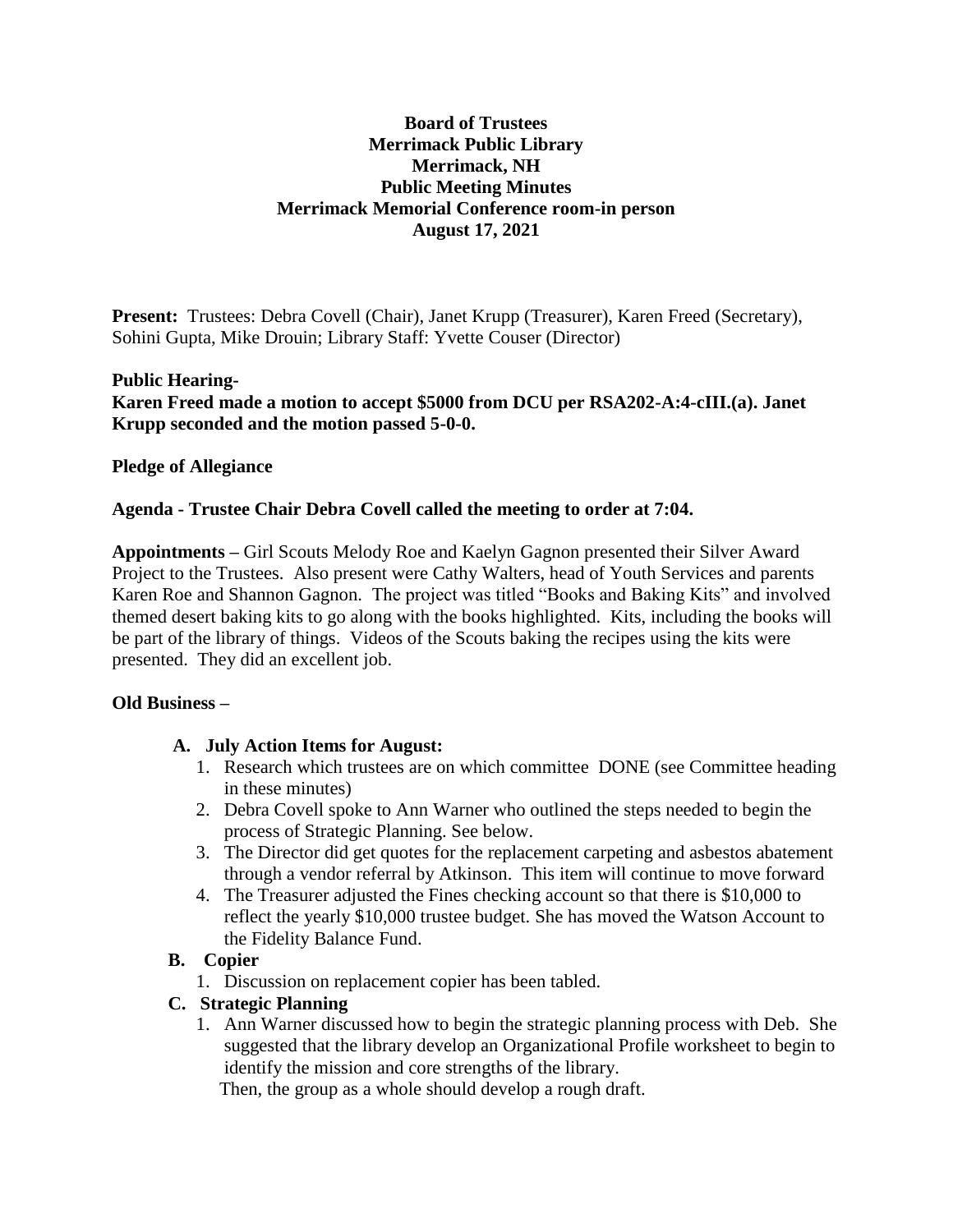# **Board of Trustees Merrimack Public Library Merrimack, NH Public Meeting Minutes Merrimack Memorial Conference room-in person August 17, 2021**

**Present:** Trustees: Debra Covell (Chair), Janet Krupp (Treasurer), Karen Freed (Secretary), Sohini Gupta, Mike Drouin; Library Staff: Yvette Couser (Director)

### **Public Hearing-**

**Karen Freed made a motion to accept \$5000 from DCU per RSA202-A:4-cIII.(a). Janet Krupp seconded and the motion passed 5-0-0.**

## **Pledge of Allegiance**

### **Agenda - Trustee Chair Debra Covell called the meeting to order at 7:04.**

**Appointments –** Girl Scouts Melody Roe and Kaelyn Gagnon presented their Silver Award Project to the Trustees. Also present were Cathy Walters, head of Youth Services and parents Karen Roe and Shannon Gagnon. The project was titled "Books and Baking Kits" and involved themed desert baking kits to go along with the books highlighted. Kits, including the books will be part of the library of things. Videos of the Scouts baking the recipes using the kits were presented. They did an excellent job.

### **Old Business –**

# **A. July Action Items for August:**

- 1. Research which trustees are on which committee DONE (see Committee heading in these minutes)
- 2. Debra Covell spoke to Ann Warner who outlined the steps needed to begin the process of Strategic Planning. See below.
- 3. The Director did get quotes for the replacement carpeting and asbestos abatement through a vendor referral by Atkinson. This item will continue to move forward
- 4. The Treasurer adjusted the Fines checking account so that there is \$10,000 to reflect the yearly \$10,000 trustee budget. She has moved the Watson Account to the Fidelity Balance Fund.

# **B. Copier**

1. Discussion on replacement copier has been tabled.

# **C. Strategic Planning**

1. Ann Warner discussed how to begin the strategic planning process with Deb. She suggested that the library develop an Organizational Profile worksheet to begin to identify the mission and core strengths of the library.

Then, the group as a whole should develop a rough draft.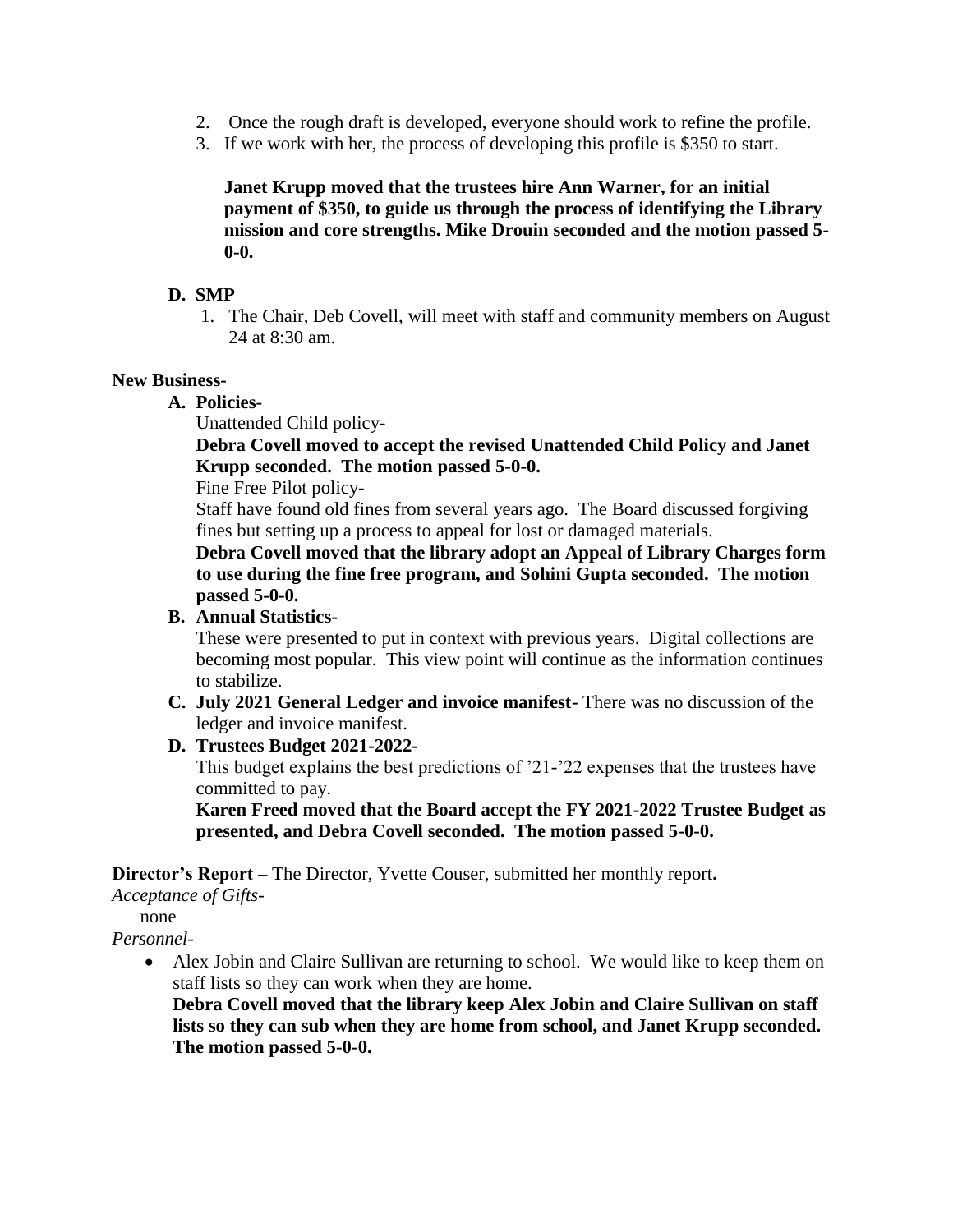- 2. Once the rough draft is developed, everyone should work to refine the profile.
- 3. If we work with her, the process of developing this profile is \$350 to start.

**Janet Krupp moved that the trustees hire Ann Warner, for an initial payment of \$350, to guide us through the process of identifying the Library mission and core strengths. Mike Drouin seconded and the motion passed 5- 0-0.**

### **D. SMP**

1. The Chair, Deb Covell, will meet with staff and community members on August 24 at 8:30 am.

#### **New Business-**

**A. Policies-**

Unattended Child policy-

**Debra Covell moved to accept the revised Unattended Child Policy and Janet Krupp seconded. The motion passed 5-0-0.**

Fine Free Pilot policy-

Staff have found old fines from several years ago. The Board discussed forgiving fines but setting up a process to appeal for lost or damaged materials.

**Debra Covell moved that the library adopt an Appeal of Library Charges form to use during the fine free program, and Sohini Gupta seconded. The motion passed 5-0-0.**

# **B. Annual Statistics-**

These were presented to put in context with previous years. Digital collections are becoming most popular. This view point will continue as the information continues to stabilize.

**C. July 2021 General Ledger and invoice manifest-** There was no discussion of the ledger and invoice manifest.

### **D. Trustees Budget 2021-2022-**

This budget explains the best predictions of '21-'22 expenses that the trustees have committed to pay.

**Karen Freed moved that the Board accept the FY 2021-2022 Trustee Budget as presented, and Debra Covell seconded. The motion passed 5-0-0.**

**Director's Report –** The Director, Yvette Couser, submitted her monthly report**.**

*Acceptance of Gifts-*

none

*Personnel-*

 Alex Jobin and Claire Sullivan are returning to school. We would like to keep them on staff lists so they can work when they are home.

**Debra Covell moved that the library keep Alex Jobin and Claire Sullivan on staff lists so they can sub when they are home from school, and Janet Krupp seconded. The motion passed 5-0-0.**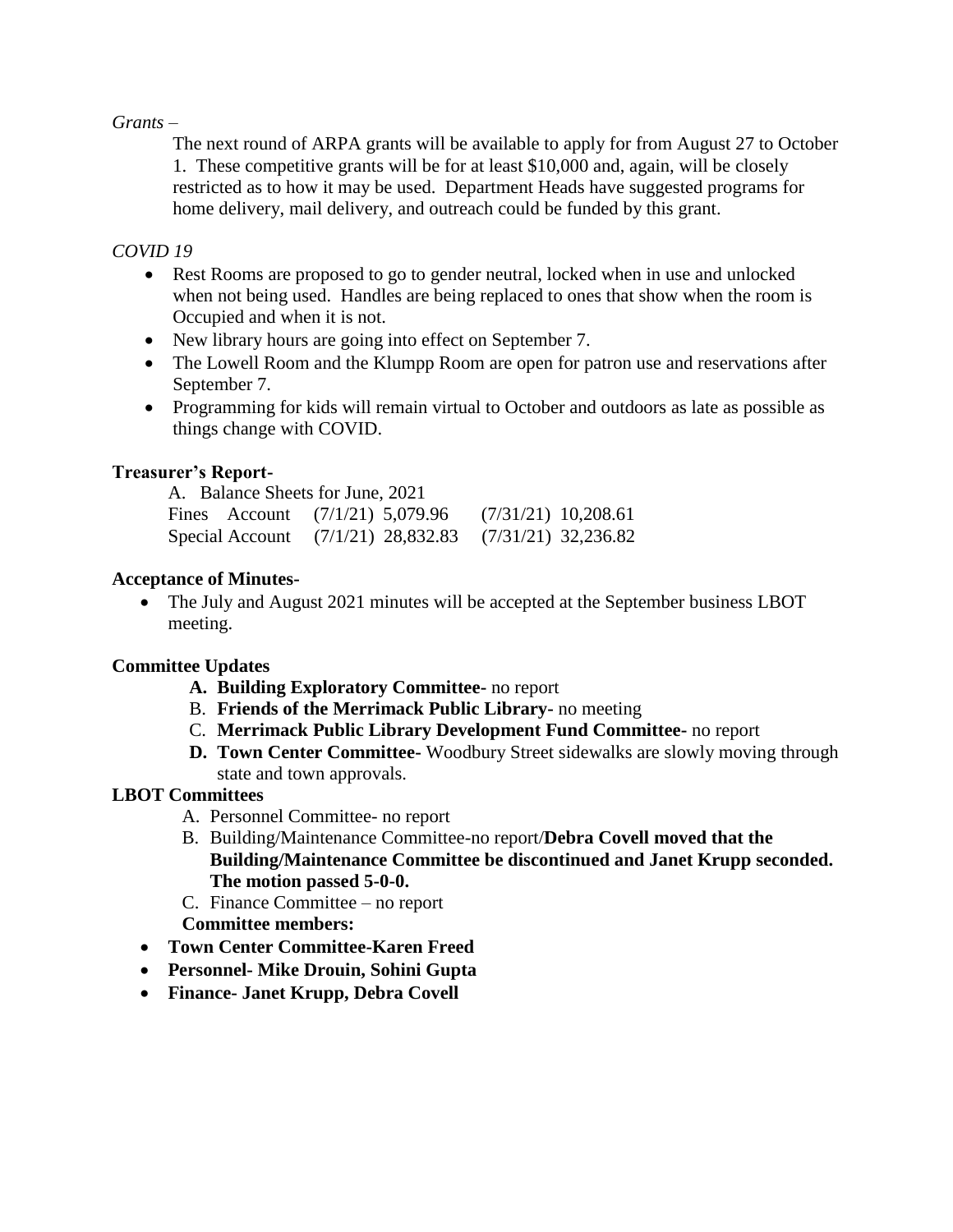#### *Grants –*

The next round of ARPA grants will be available to apply for from August 27 to October 1. These competitive grants will be for at least \$10,000 and, again, will be closely restricted as to how it may be used. Department Heads have suggested programs for home delivery, mail delivery, and outreach could be funded by this grant.

### *COVID 19*

- Rest Rooms are proposed to go to gender neutral, locked when in use and unlocked when not being used. Handles are being replaced to ones that show when the room is Occupied and when it is not.
- New library hours are going into effect on September 7.
- The Lowell Room and the Klumpp Room are open for patron use and reservations after September 7.
- Programming for kids will remain virtual to October and outdoors as late as possible as things change with COVID.

## **Treasurer's Report-**

| A. Balance Sheets for June, 2021 |                                                         |  |
|----------------------------------|---------------------------------------------------------|--|
|                                  | Fines Account $(7/1/21)$ 5,079.96 $(7/31/21)$ 10,208.61 |  |
|                                  | Special Account (7/1/21) 28,832.83 (7/31/21) 32,236.82  |  |

## **Acceptance of Minutes-**

• The July and August 2021 minutes will be accepted at the September business LBOT meeting.

# **Committee Updates**

- **A. Building Exploratory Committee-** no report
- B. **Friends of the Merrimack Public Library-** no meeting
- C. **Merrimack Public Library Development Fund Committee-** no report
- **D. Town Center Committee-** Woodbury Street sidewalks are slowly moving through state and town approvals.

# **LBOT Committees**

- A. Personnel Committee- no report
- B. Building/Maintenance Committee-no report/**Debra Covell moved that the Building/Maintenance Committee be discontinued and Janet Krupp seconded. The motion passed 5-0-0.**
- C. Finance Committee no report **Committee members:**
- **Town Center Committee-Karen Freed**
- **Personnel- Mike Drouin, Sohini Gupta**
- **Finance- Janet Krupp, Debra Covell**